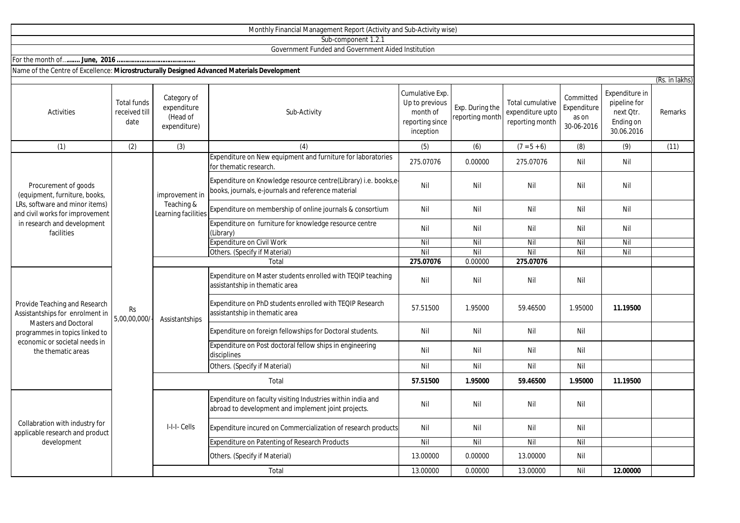| Sub-component 1.2.1                                                                                                                                                               |                                             |                                                     |                                                                                                                       |                                                            |                                    |                                                         |                                    |                                                      |                                   |
|-----------------------------------------------------------------------------------------------------------------------------------------------------------------------------------|---------------------------------------------|-----------------------------------------------------|-----------------------------------------------------------------------------------------------------------------------|------------------------------------------------------------|------------------------------------|---------------------------------------------------------|------------------------------------|------------------------------------------------------|-----------------------------------|
| Government Funded and Government Aided Institution                                                                                                                                |                                             |                                                     |                                                                                                                       |                                                            |                                    |                                                         |                                    |                                                      |                                   |
|                                                                                                                                                                                   |                                             |                                                     |                                                                                                                       |                                                            |                                    |                                                         |                                    |                                                      |                                   |
| Name of the Centre of Excellence: Microstructurally Designed Advanced Materials Development                                                                                       |                                             |                                                     |                                                                                                                       |                                                            |                                    |                                                         |                                    |                                                      |                                   |
|                                                                                                                                                                                   |                                             | Category of                                         |                                                                                                                       | Cumulative Exp.                                            |                                    |                                                         | Committed                          | Expenditure in                                       | (Rs. in lakhs)<br>Remarks<br>(11) |
| Activities                                                                                                                                                                        | <b>Total funds</b><br>received till<br>date | expenditure<br>(Head of<br>expenditure)             | Sub-Activity                                                                                                          | Up to previous<br>month of<br>reporting since<br>inception | Exp. During the<br>reporting month | Total cumulative<br>expenditure upto<br>reporting month | Expenditure<br>as on<br>30-06-2016 | pipeline for<br>next Qtr.<br>Ending on<br>30.06.2016 |                                   |
| (1)                                                                                                                                                                               | (2)                                         | (3)                                                 | (4)                                                                                                                   | (5)                                                        | (6)                                | $(7 = 5 + 6)$                                           | (8)                                | (9)                                                  |                                   |
|                                                                                                                                                                                   |                                             | improvement in<br>Teaching &<br>Learning facilities | Expenditure on New equipment and furniture for laboratories<br>for thematic research.                                 | 275.07076                                                  | 0.00000                            | 275.07076                                               | Nil                                | Nil                                                  |                                   |
| Procurement of goods<br>(equipment, furniture, books,<br>LRs, software and minor items)<br>and civil works for improvement<br>in research and development<br>facilities           | <b>Rs</b><br>5,00,00,000/                   |                                                     | Expenditure on Knowledge resource centre(Library) i.e. books,e-<br>books, journals, e-journals and reference material | Nil                                                        | Nil                                | Nil                                                     | Nil                                | Nil                                                  |                                   |
|                                                                                                                                                                                   |                                             |                                                     | Expenditure on membership of online journals & consortium                                                             | Nil                                                        | Nil                                | Nil                                                     | Nil                                | Nil                                                  |                                   |
|                                                                                                                                                                                   |                                             |                                                     | Expenditure on furniture for knowledge resource centre<br>(Library)                                                   | Nil                                                        | Nil                                | Nil                                                     | Nil                                | Nil                                                  |                                   |
|                                                                                                                                                                                   |                                             |                                                     | Expenditure on Civil Work                                                                                             | $\overline{N}$                                             | Nil                                | Nil                                                     | Nil                                | Nil                                                  |                                   |
|                                                                                                                                                                                   |                                             |                                                     | Others. (Specify if Material)                                                                                         | Nil                                                        | Nil                                | Nil                                                     | Nil                                | Nil                                                  |                                   |
|                                                                                                                                                                                   |                                             |                                                     | Total                                                                                                                 | 275.07076                                                  | 0.00000                            | 275.07076                                               |                                    |                                                      |                                   |
| Provide Teaching and Research<br>Assistantships for enrolment in<br>Masters and Doctoral<br>programmes in topics linked to<br>economic or societal needs in<br>the thematic areas |                                             | Assistantships                                      | Expenditure on Master students enrolled with TEQIP teaching<br>assistantship in thematic area                         | Nil                                                        | Nil                                | Nil                                                     | Nil                                |                                                      |                                   |
|                                                                                                                                                                                   |                                             |                                                     | Expenditure on PhD students enrolled with TEQIP Research<br>assistantship in thematic area                            | 57.51500                                                   | 1.95000                            | 59.46500                                                | 1.95000                            | 11.19500                                             |                                   |
|                                                                                                                                                                                   |                                             |                                                     | Expenditure on foreign fellowships for Doctoral students.                                                             | Nil                                                        | Nil                                | Nil                                                     | Nil                                |                                                      |                                   |
|                                                                                                                                                                                   |                                             |                                                     | Expenditure on Post doctoral fellow ships in engineering<br>disciplines                                               | Nil                                                        | Nil                                | Nil                                                     | Nil                                |                                                      |                                   |
|                                                                                                                                                                                   |                                             |                                                     | Others. (Specify if Material)                                                                                         | Nil                                                        | Nil                                | Nil                                                     | Nil                                |                                                      |                                   |
|                                                                                                                                                                                   |                                             | Total                                               |                                                                                                                       | 57.51500                                                   | 1.95000                            | 59.46500                                                | 1.95000                            | 11.19500                                             |                                   |
| Collabration with industry for<br>applicable research and product                                                                                                                 |                                             | I-I-I-Cells                                         | Expenditure on faculty visiting Industries within india and<br>abroad to development and implement joint projects.    | Nil                                                        | Nil                                | Nil                                                     | Nil                                |                                                      |                                   |
|                                                                                                                                                                                   |                                             |                                                     | Expenditure incured on Commercialization of research products                                                         | Nil                                                        | Nil                                | Nil                                                     | Nil                                |                                                      |                                   |
| development                                                                                                                                                                       |                                             |                                                     | <b>Expenditure on Patenting of Research Products</b>                                                                  | Nil                                                        | Nil                                | Nil                                                     | Nil                                |                                                      |                                   |
|                                                                                                                                                                                   |                                             |                                                     | Others. (Specify if Material)                                                                                         | 13.00000                                                   | 0.00000                            | 13.00000                                                | Nil                                |                                                      |                                   |
|                                                                                                                                                                                   |                                             |                                                     | Total                                                                                                                 | 13.00000                                                   | 0.00000                            | 13.00000                                                | Nil                                | 12.00000                                             |                                   |

Monthly Financial Management Report (Activity and Sub-Activity wise)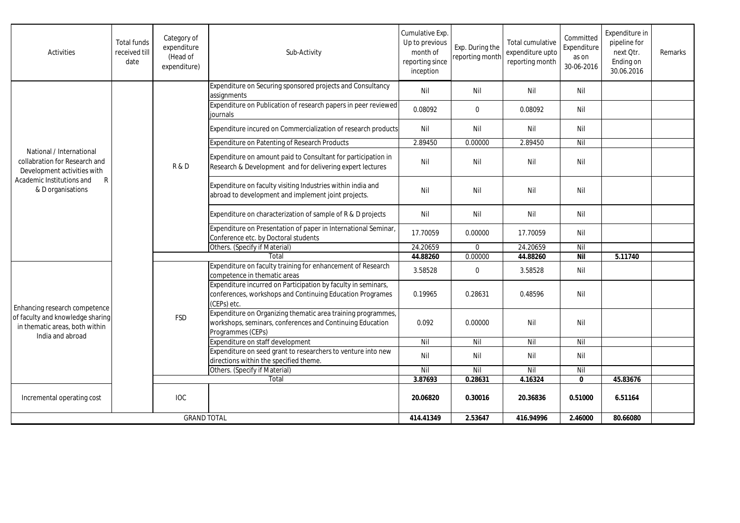| Activities                                                                                                                                      | <b>Total funds</b><br>received till<br>date | Category of<br>expenditure<br>(Head of<br>expenditure) | Sub-Activity                                                                                                                                   | Cumulative Exp.<br>Up to previous<br>month of<br>reporting since<br>inception | Exp. During the<br>reporting month | Total cumulative<br>expenditure upto<br>reporting month | Committed<br>Expenditure<br>as on<br>30-06-2016 | Expenditure in<br>pipeline for<br>next Otr.<br>Ending on<br>30.06.2016 | Remarks |
|-------------------------------------------------------------------------------------------------------------------------------------------------|---------------------------------------------|--------------------------------------------------------|------------------------------------------------------------------------------------------------------------------------------------------------|-------------------------------------------------------------------------------|------------------------------------|---------------------------------------------------------|-------------------------------------------------|------------------------------------------------------------------------|---------|
| National / International<br>collabration for Research and<br>Development activities with<br>Academic Institutions and<br>R<br>& D organisations |                                             | R&D                                                    | Expenditure on Securing sponsored projects and Consultancy<br>assignments                                                                      | Nil                                                                           | Nil                                | Nil                                                     | Nil                                             |                                                                        |         |
|                                                                                                                                                 |                                             |                                                        | Expenditure on Publication of research papers in peer reviewed<br>iournals                                                                     | 0.08092                                                                       | $\mathbf 0$                        | 0.08092                                                 | Nil                                             |                                                                        |         |
|                                                                                                                                                 |                                             |                                                        | Expenditure incured on Commercialization of research products                                                                                  | Nil                                                                           | Nil                                | Nil                                                     | Nil                                             |                                                                        |         |
|                                                                                                                                                 |                                             |                                                        | Expenditure on Patenting of Research Products                                                                                                  | 2.89450                                                                       | 0.00000                            | 2.89450                                                 | Nil                                             |                                                                        |         |
|                                                                                                                                                 |                                             |                                                        | Expenditure on amount paid to Consultant for participation in<br>Research & Development and for delivering expert lectures                     | Nil                                                                           | Nil                                | Nil                                                     | Nil                                             |                                                                        |         |
|                                                                                                                                                 |                                             |                                                        | Expenditure on faculty visiting Industries within india and<br>abroad to development and implement joint projects.                             | Nil                                                                           | Nil                                | Nil                                                     | Nil                                             |                                                                        |         |
|                                                                                                                                                 |                                             |                                                        | Expenditure on characterization of sample of R & D projects                                                                                    | Nil                                                                           | Nil                                | Nil                                                     | Nil                                             |                                                                        |         |
|                                                                                                                                                 |                                             |                                                        | Expenditure on Presentation of paper in International Seminar,<br>Conference etc. by Doctoral students                                         | 17.70059                                                                      | 0.00000                            | 17.70059                                                | Nil                                             |                                                                        |         |
|                                                                                                                                                 |                                             |                                                        | Others. (Specify if Material)                                                                                                                  | 24.20659                                                                      | $\Omega$                           | 24.20659                                                | Nil                                             |                                                                        |         |
|                                                                                                                                                 |                                             |                                                        | Total                                                                                                                                          | 44.88260                                                                      | 0.00000                            | 44.88260                                                | <b>Nil</b>                                      | 5.11740                                                                |         |
| Enhancing research competence<br>of faculty and knowledge sharing<br>in thematic areas, both within<br>India and abroad                         |                                             | <b>FSD</b>                                             | Expenditure on faculty training for enhancement of Research<br>competence in thematic areas                                                    | 3.58528                                                                       | $\mathbf{0}$                       | 3.58528                                                 | Nil                                             |                                                                        |         |
|                                                                                                                                                 |                                             |                                                        | Expenditure incurred on Participation by faculty in seminars,<br>conferences, workshops and Continuing Education Programes<br>(CEPs) etc.      | 0.19965                                                                       | 0.28631                            | 0.48596                                                 | Nil                                             |                                                                        |         |
|                                                                                                                                                 |                                             |                                                        | Expenditure on Organizing thematic area training programmes,<br>workshops, seminars, conferences and Continuing Education<br>Programmes (CEPs) | 0.092                                                                         | 0.00000                            | Nil                                                     | Nil                                             |                                                                        |         |
|                                                                                                                                                 |                                             |                                                        | Expenditure on staff development                                                                                                               | Nil                                                                           | Nil                                | Nil                                                     | Nil                                             |                                                                        |         |
|                                                                                                                                                 |                                             |                                                        | Expenditure on seed grant to researchers to venture into new<br>directions within the specified theme.                                         | Nil                                                                           | Nil                                | Nil                                                     | Nil                                             |                                                                        |         |
|                                                                                                                                                 |                                             |                                                        | Others. (Specify if Material)                                                                                                                  | Nil                                                                           | Nil                                | Nil                                                     | Nil                                             |                                                                        |         |
|                                                                                                                                                 |                                             |                                                        | Total                                                                                                                                          | 3.87693                                                                       | 0.28631                            | 4.16324                                                 | $\mathbf{0}$                                    | 45.83676                                                               |         |
| Incremental operating cost                                                                                                                      |                                             | <b>IOC</b>                                             |                                                                                                                                                | 20.06820                                                                      | 0.30016                            | 20.36836                                                | 0.51000                                         | 6.51164                                                                |         |
| <b>GRAND TOTAL</b>                                                                                                                              |                                             |                                                        | 414.41349                                                                                                                                      | 2.53647                                                                       | 416.94996                          | 2.46000                                                 | 80.66080                                        |                                                                        |         |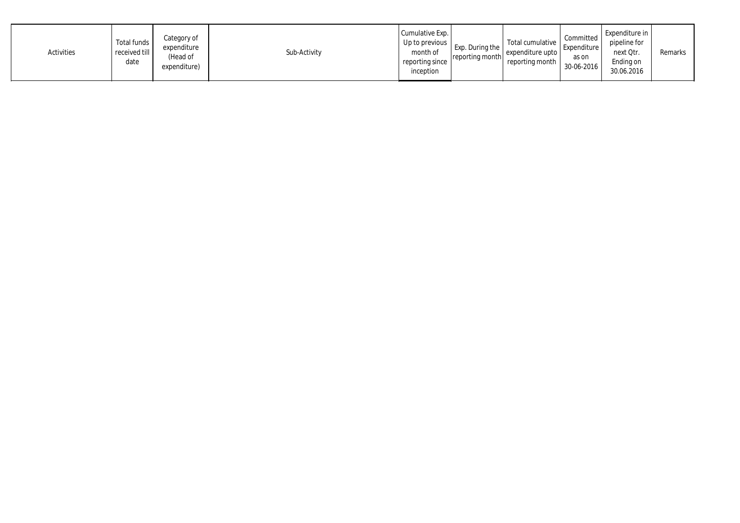| Activities | Total funds<br>received till<br>date | Category of<br>expenditure<br>(Head of<br>expenditure) | Sub-Activity | Cumulative Exp.<br>Up to previous  <br>month of<br>reporting since<br>inception | Exp. During the<br>reporting month | Total cumulative<br>expenditure upto<br>reporting month | Committed<br>Expenditure<br>as on<br>30-06-2016 | Expenditure in<br>pipeline for<br>next Qtr.<br>Ending on<br>30.06.2016 | Remarks |
|------------|--------------------------------------|--------------------------------------------------------|--------------|---------------------------------------------------------------------------------|------------------------------------|---------------------------------------------------------|-------------------------------------------------|------------------------------------------------------------------------|---------|
|------------|--------------------------------------|--------------------------------------------------------|--------------|---------------------------------------------------------------------------------|------------------------------------|---------------------------------------------------------|-------------------------------------------------|------------------------------------------------------------------------|---------|